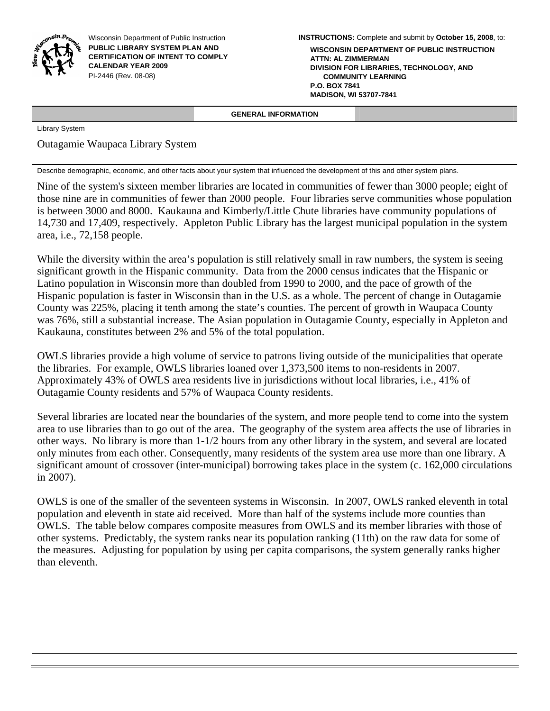

Wisconsin Department of Public Instruction **PUBLIC LIBRARY SYSTEM PLAN AND CERTIFICATION OF INTENT TO COMPLY CALENDAR YEAR 2009**  PI-2446 (Rev. 08-08)

**INSTRUCTIONS:** Complete and submit by **October 15, 2008**, to:

**WISCONSIN DEPARTMENT OF PUBLIC INSTRUCTION ATTN: AL ZIMMERMAN DIVISION FOR LIBRARIES, TECHNOLOGY, AND COMMUNITY LEARNING P.O. BOX 7841 MADISON, WI 53707-7841**

 **GENERAL INFORMATION** 

Library System

Outagamie Waupaca Library System

Describe demographic, economic, and other facts about your system that influenced the development of this and other system plans.

Nine of the system's sixteen member libraries are located in communities of fewer than 3000 people; eight of those nine are in communities of fewer than 2000 people. Four libraries serve communities whose population is between 3000 and 8000. Kaukauna and Kimberly/Little Chute libraries have community populations of 14,730 and 17,409, respectively. Appleton Public Library has the largest municipal population in the system area, i.e., 72,158 people.

While the diversity within the area's population is still relatively small in raw numbers, the system is seeing significant growth in the Hispanic community. Data from the 2000 census indicates that the Hispanic or Latino population in Wisconsin more than doubled from 1990 to 2000, and the pace of growth of the Hispanic population is faster in Wisconsin than in the U.S. as a whole. The percent of change in Outagamie County was 225%, placing it tenth among the state's counties. The percent of growth in Waupaca County was 76%, still a substantial increase. The Asian population in Outagamie County, especially in Appleton and Kaukauna, constitutes between 2% and 5% of the total population.

OWLS libraries provide a high volume of service to patrons living outside of the municipalities that operate the libraries. For example, OWLS libraries loaned over 1,373,500 items to non-residents in 2007. Approximately 43% of OWLS area residents live in jurisdictions without local libraries, i.e., 41% of Outagamie County residents and 57% of Waupaca County residents.

Several libraries are located near the boundaries of the system, and more people tend to come into the system area to use libraries than to go out of the area. The geography of the system area affects the use of libraries in other ways. No library is more than 1-1/2 hours from any other library in the system, and several are located only minutes from each other. Consequently, many residents of the system area use more than one library. A significant amount of crossover (inter-municipal) borrowing takes place in the system (c. 162,000 circulations in 2007).

OWLS is one of the smaller of the seventeen systems in Wisconsin. In 2007, OWLS ranked eleventh in total population and eleventh in state aid received. More than half of the systems include more counties than OWLS. The table below compares composite measures from OWLS and its member libraries with those of other systems. Predictably, the system ranks near its population ranking (11th) on the raw data for some of the measures. Adjusting for population by using per capita comparisons, the system generally ranks higher than eleventh.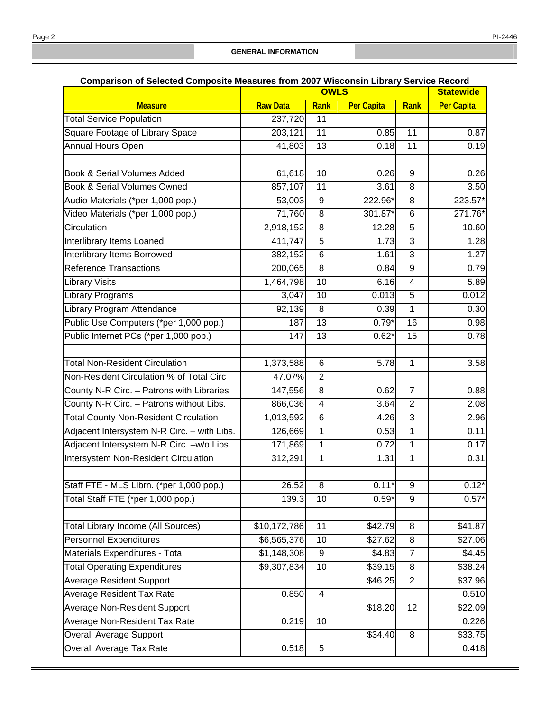|                                              | Companson or Selected Composite Measures from Zoor Wisconsin Library Service Record<br><b>OWLS</b> |                         |                   |                | <b>Statewide</b>  |
|----------------------------------------------|----------------------------------------------------------------------------------------------------|-------------------------|-------------------|----------------|-------------------|
| <b>Measure</b>                               | <b>Raw Data</b>                                                                                    | Rank                    | <b>Per Capita</b> | Rank           | <b>Per Capita</b> |
| <b>Total Service Population</b>              | 237,720                                                                                            | 11                      |                   |                |                   |
| Square Footage of Library Space              | 203,121                                                                                            | 11                      | 0.85              | 11             | 0.87              |
| Annual Hours Open                            | 41,803                                                                                             | 13                      | 0.18              | 11             | 0.19              |
|                                              |                                                                                                    |                         |                   |                |                   |
| Book & Serial Volumes Added                  | 61,618                                                                                             | 10                      | 0.26              | $\overline{9}$ | 0.26              |
| <b>Book &amp; Serial Volumes Owned</b>       | 857,107                                                                                            | 11                      | 3.61              | 8              | 3.50              |
| Audio Materials (*per 1,000 pop.)            | 53,003                                                                                             | 9                       | 222.96*           | 8              | 223.57*           |
| Video Materials (*per 1,000 pop.)            | 71,760                                                                                             | 8                       | 301.87*           | 6              | 271.76*           |
| Circulation                                  | 2,918,152                                                                                          | $\overline{8}$          | 12.28             | 5              | 10.60             |
| Interlibrary Items Loaned                    | 411,747                                                                                            | 5                       | 1.73              | 3              | 1.28              |
| Interlibrary Items Borrowed                  | 382,152                                                                                            | 6                       | 1.61              | $\overline{3}$ | 1.27              |
| <b>Reference Transactions</b>                | 200,065                                                                                            | $\overline{8}$          | 0.84              | 9              | 0.79              |
| <b>Library Visits</b>                        | 1,464,798                                                                                          | 10                      | 6.16              | $\overline{4}$ | 5.89              |
| <b>Library Programs</b>                      | 3,047                                                                                              | 10                      | 0.013             | 5              | 0.012             |
| Library Program Attendance                   | 92,139                                                                                             | 8                       | 0.39              | 1              | 0.30              |
| Public Use Computers (*per 1,000 pop.)       | 187                                                                                                | 13                      | $0.79*$           | 16             | 0.98              |
| Public Internet PCs (*per 1,000 pop.)        | 147                                                                                                | 13                      | $0.62*$           | 15             | 0.78              |
|                                              |                                                                                                    |                         |                   |                |                   |
| <b>Total Non-Resident Circulation</b>        | 1,373,588                                                                                          | 6                       | 5.78              | 1              | 3.58              |
| Non-Resident Circulation % of Total Circ     | 47.07%                                                                                             | $\overline{2}$          |                   |                |                   |
| County N-R Circ. - Patrons with Libraries    | 147,556                                                                                            | 8                       | 0.62              | 7              | 0.88              |
| County N-R Circ. - Patrons without Libs.     | 866,036                                                                                            | $\overline{\mathbf{4}}$ | 3.64              | $\overline{2}$ | 2.08              |
| <b>Total County Non-Resident Circulation</b> | 1,013,592                                                                                          | 6                       | 4.26              | 3              | 2.96              |
| Adjacent Intersystem N-R Circ. - with Libs.  | 126,669                                                                                            | $\mathbf{1}$            | 0.53              | $\overline{1}$ | 0.11              |
| Adjacent Intersystem N-R Circ. - w/o Libs.   | 171,869                                                                                            | $\mathbf{1}$            | 0.72              | 1              | 0.17              |
| Intersystem Non-Resident Circulation         | 312,291                                                                                            | $\mathbf{1}$            | 1.31              | $\overline{1}$ | 0.31              |
|                                              |                                                                                                    |                         |                   |                |                   |
| Staff FTE - MLS Librn. (*per 1,000 pop.)     | 26.52                                                                                              | 8                       | $0.11*$           | 9              | $0.12*$           |
| Total Staff FTE (*per 1,000 pop.)            | 139.3                                                                                              | 10                      | $0.59*$           | 9              | $0.57*$           |
|                                              |                                                                                                    |                         |                   |                |                   |
| <b>Total Library Income (All Sources)</b>    | \$10,172,786                                                                                       | 11                      | \$42.79           | 8              | \$41.87           |
| <b>Personnel Expenditures</b>                | \$6,565,376                                                                                        | 10                      | \$27.62           | 8              | \$27.06           |
| Materials Expenditures - Total               | \$1,148,308                                                                                        | 9                       | \$4.83            | $\overline{7}$ | \$4.45            |
| <b>Total Operating Expenditures</b>          | \$9,307,834                                                                                        | 10                      | \$39.15           | 8              | \$38.24           |
| <b>Average Resident Support</b>              |                                                                                                    |                         | \$46.25           | $\overline{2}$ | \$37.96           |
| <b>Average Resident Tax Rate</b>             | 0.850                                                                                              | $\overline{4}$          |                   |                | 0.510             |
| <b>Average Non-Resident Support</b>          |                                                                                                    |                         | \$18.20           | 12             | \$22.09           |
| Average Non-Resident Tax Rate                | 0.219                                                                                              | 10                      |                   |                | 0.226             |
| <b>Overall Average Support</b>               |                                                                                                    |                         | \$34.40           | 8              | \$33.75           |
| Overall Average Tax Rate                     | 0.518                                                                                              | 5                       |                   |                | 0.418             |

## **Comparison of Selected Composite Measures from 2007 Wisconsin Library Service Record**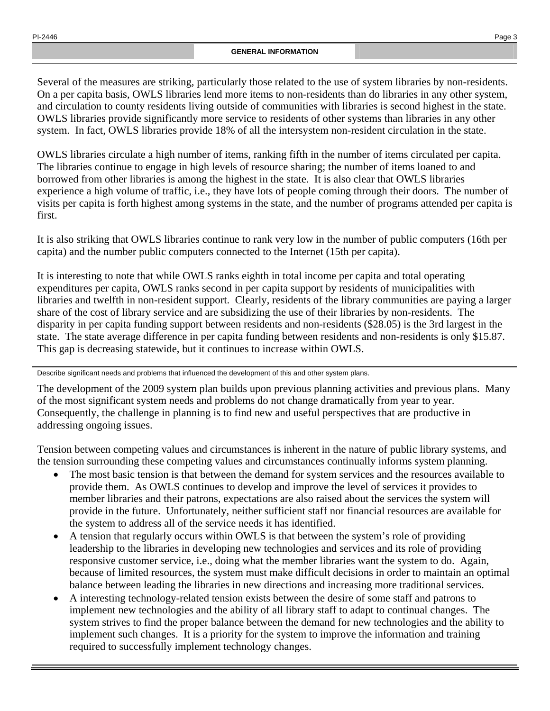Several of the measures are striking, particularly those related to the use of system libraries by non-residents. On a per capita basis, OWLS libraries lend more items to non-residents than do libraries in any other system, and circulation to county residents living outside of communities with libraries is second highest in the state. OWLS libraries provide significantly more service to residents of other systems than libraries in any other system. In fact, OWLS libraries provide 18% of all the intersystem non-resident circulation in the state.

OWLS libraries circulate a high number of items, ranking fifth in the number of items circulated per capita. The libraries continue to engage in high levels of resource sharing; the number of items loaned to and borrowed from other libraries is among the highest in the state. It is also clear that OWLS libraries experience a high volume of traffic, i.e., they have lots of people coming through their doors. The number of visits per capita is forth highest among systems in the state, and the number of programs attended per capita is first.

It is also striking that OWLS libraries continue to rank very low in the number of public computers (16th per capita) and the number public computers connected to the Internet (15th per capita).

It is interesting to note that while OWLS ranks eighth in total income per capita and total operating expenditures per capita, OWLS ranks second in per capita support by residents of municipalities with libraries and twelfth in non-resident support. Clearly, residents of the library communities are paying a larger share of the cost of library service and are subsidizing the use of their libraries by non-residents. The disparity in per capita funding support between residents and non-residents (\$28.05) is the 3rd largest in the state. The state average difference in per capita funding between residents and non-residents is only \$15.87. This gap is decreasing statewide, but it continues to increase within OWLS.

Describe significant needs and problems that influenced the development of this and other system plans.

The development of the 2009 system plan builds upon previous planning activities and previous plans. Many of the most significant system needs and problems do not change dramatically from year to year. Consequently, the challenge in planning is to find new and useful perspectives that are productive in addressing ongoing issues.

Tension between competing values and circumstances is inherent in the nature of public library systems, and the tension surrounding these competing values and circumstances continually informs system planning.

- The most basic tension is that between the demand for system services and the resources available to provide them. As OWLS continues to develop and improve the level of services it provides to member libraries and their patrons, expectations are also raised about the services the system will provide in the future. Unfortunately, neither sufficient staff nor financial resources are available for the system to address all of the service needs it has identified.
- A tension that regularly occurs within OWLS is that between the system's role of providing leadership to the libraries in developing new technologies and services and its role of providing responsive customer service, i.e., doing what the member libraries want the system to do. Again, because of limited resources, the system must make difficult decisions in order to maintain an optimal balance between leading the libraries in new directions and increasing more traditional services.
- A interesting technology-related tension exists between the desire of some staff and patrons to implement new technologies and the ability of all library staff to adapt to continual changes. The system strives to find the proper balance between the demand for new technologies and the ability to implement such changes. It is a priority for the system to improve the information and training required to successfully implement technology changes.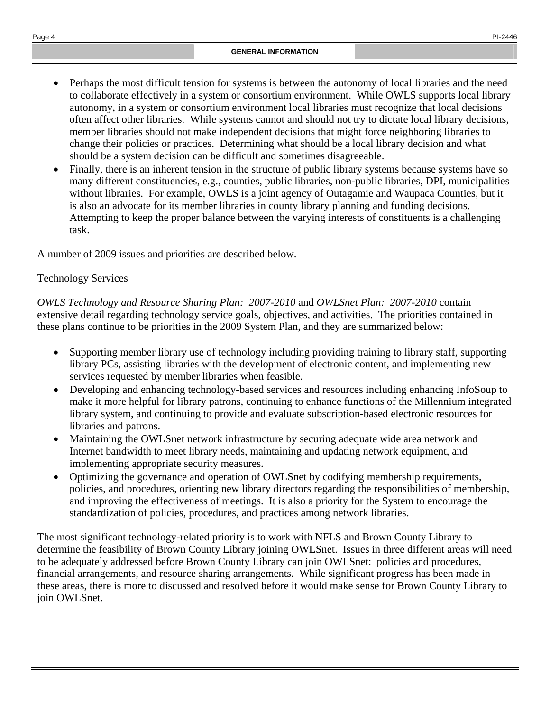- Perhaps the most difficult tension for systems is between the autonomy of local libraries and the need to collaborate effectively in a system or consortium environment. While OWLS supports local library autonomy, in a system or consortium environment local libraries must recognize that local decisions often affect other libraries. While systems cannot and should not try to dictate local library decisions, member libraries should not make independent decisions that might force neighboring libraries to change their policies or practices. Determining what should be a local library decision and what should be a system decision can be difficult and sometimes disagreeable.
- Finally, there is an inherent tension in the structure of public library systems because systems have so many different constituencies, e.g., counties, public libraries, non-public libraries, DPI, municipalities without libraries. For example, OWLS is a joint agency of Outagamie and Waupaca Counties, but it is also an advocate for its member libraries in county library planning and funding decisions. Attempting to keep the proper balance between the varying interests of constituents is a challenging task.

A number of 2009 issues and priorities are described below.

# Technology Services

*OWLS Technology and Resource Sharing Plan: 2007-2010* and *OWLSnet Plan: 2007-2010* contain extensive detail regarding technology service goals, objectives, and activities. The priorities contained in these plans continue to be priorities in the 2009 System Plan, and they are summarized below:

- Supporting member library use of technology including providing training to library staff, supporting library PCs, assisting libraries with the development of electronic content, and implementing new services requested by member libraries when feasible.
- Developing and enhancing technology-based services and resources including enhancing InfoSoup to make it more helpful for library patrons, continuing to enhance functions of the Millennium integrated library system, and continuing to provide and evaluate subscription-based electronic resources for libraries and patrons.
- Maintaining the OWLS net network infrastructure by securing adequate wide area network and Internet bandwidth to meet library needs, maintaining and updating network equipment, and implementing appropriate security measures.
- Optimizing the governance and operation of OWLS net by codifying membership requirements, policies, and procedures, orienting new library directors regarding the responsibilities of membership, and improving the effectiveness of meetings. It is also a priority for the System to encourage the standardization of policies, procedures, and practices among network libraries.

The most significant technology-related priority is to work with NFLS and Brown County Library to determine the feasibility of Brown County Library joining OWLSnet. Issues in three different areas will need to be adequately addressed before Brown County Library can join OWLSnet: policies and procedures, financial arrangements, and resource sharing arrangements. While significant progress has been made in these areas, there is more to discussed and resolved before it would make sense for Brown County Library to join OWLSnet.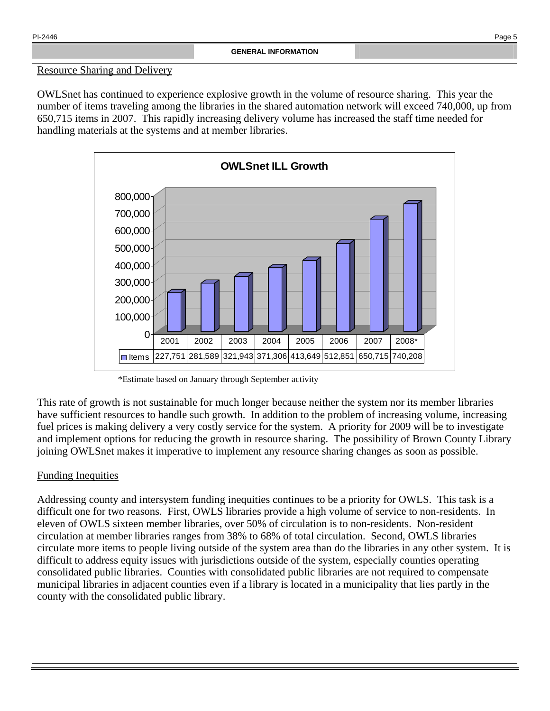## Resource Sharing and Delivery

OWLSnet has continued to experience explosive growth in the volume of resource sharing. This year the number of items traveling among the libraries in the shared automation network will exceed 740,000, up from 650,715 items in 2007. This rapidly increasing delivery volume has increased the staff time needed for handling materials at the systems and at member libraries.



\*Estimate based on January through September activity

This rate of growth is not sustainable for much longer because neither the system nor its member libraries have sufficient resources to handle such growth. In addition to the problem of increasing volume, increasing fuel prices is making delivery a very costly service for the system. A priority for 2009 will be to investigate and implement options for reducing the growth in resource sharing. The possibility of Brown County Library joining OWLSnet makes it imperative to implement any resource sharing changes as soon as possible.

# Funding Inequities

Addressing county and intersystem funding inequities continues to be a priority for OWLS. This task is a difficult one for two reasons. First, OWLS libraries provide a high volume of service to non-residents. In eleven of OWLS sixteen member libraries, over 50% of circulation is to non-residents. Non-resident circulation at member libraries ranges from 38% to 68% of total circulation. Second, OWLS libraries circulate more items to people living outside of the system area than do the libraries in any other system. It is difficult to address equity issues with jurisdictions outside of the system, especially counties operating consolidated public libraries. Counties with consolidated public libraries are not required to compensate municipal libraries in adjacent counties even if a library is located in a municipality that lies partly in the county with the consolidated public library.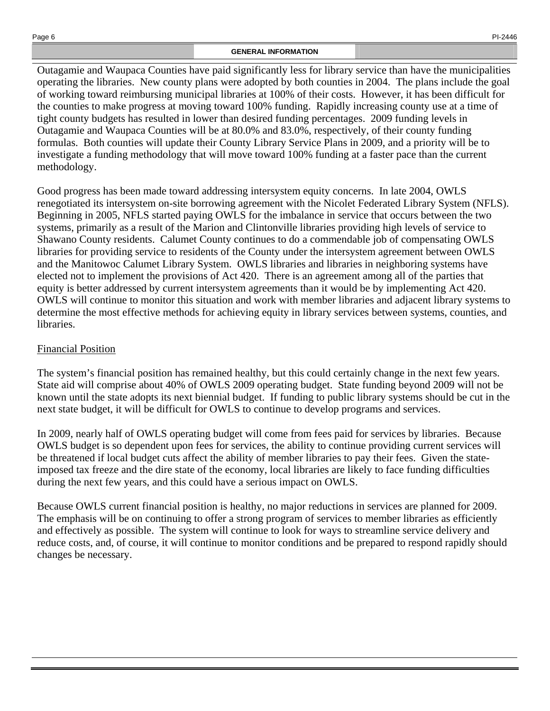Outagamie and Waupaca Counties have paid significantly less for library service than have the municipalities operating the libraries. New county plans were adopted by both counties in 2004. The plans include the goal of working toward reimbursing municipal libraries at 100% of their costs. However, it has been difficult for the counties to make progress at moving toward 100% funding. Rapidly increasing county use at a time of tight county budgets has resulted in lower than desired funding percentages. 2009 funding levels in Outagamie and Waupaca Counties will be at 80.0% and 83.0%, respectively, of their county funding formulas. Both counties will update their County Library Service Plans in 2009, and a priority will be to investigate a funding methodology that will move toward 100% funding at a faster pace than the current methodology.

Good progress has been made toward addressing intersystem equity concerns. In late 2004, OWLS renegotiated its intersystem on-site borrowing agreement with the Nicolet Federated Library System (NFLS). Beginning in 2005, NFLS started paying OWLS for the imbalance in service that occurs between the two systems, primarily as a result of the Marion and Clintonville libraries providing high levels of service to Shawano County residents. Calumet County continues to do a commendable job of compensating OWLS libraries for providing service to residents of the County under the intersystem agreement between OWLS and the Manitowoc Calumet Library System. OWLS libraries and libraries in neighboring systems have elected not to implement the provisions of Act 420. There is an agreement among all of the parties that equity is better addressed by current intersystem agreements than it would be by implementing Act 420. OWLS will continue to monitor this situation and work with member libraries and adjacent library systems to determine the most effective methods for achieving equity in library services between systems, counties, and libraries.

# Financial Position

The system's financial position has remained healthy, but this could certainly change in the next few years. State aid will comprise about 40% of OWLS 2009 operating budget. State funding beyond 2009 will not be known until the state adopts its next biennial budget. If funding to public library systems should be cut in the next state budget, it will be difficult for OWLS to continue to develop programs and services.

In 2009, nearly half of OWLS operating budget will come from fees paid for services by libraries. Because OWLS budget is so dependent upon fees for services, the ability to continue providing current services will be threatened if local budget cuts affect the ability of member libraries to pay their fees. Given the stateimposed tax freeze and the dire state of the economy, local libraries are likely to face funding difficulties during the next few years, and this could have a serious impact on OWLS.

Because OWLS current financial position is healthy, no major reductions in services are planned for 2009. The emphasis will be on continuing to offer a strong program of services to member libraries as efficiently and effectively as possible. The system will continue to look for ways to streamline service delivery and reduce costs, and, of course, it will continue to monitor conditions and be prepared to respond rapidly should changes be necessary.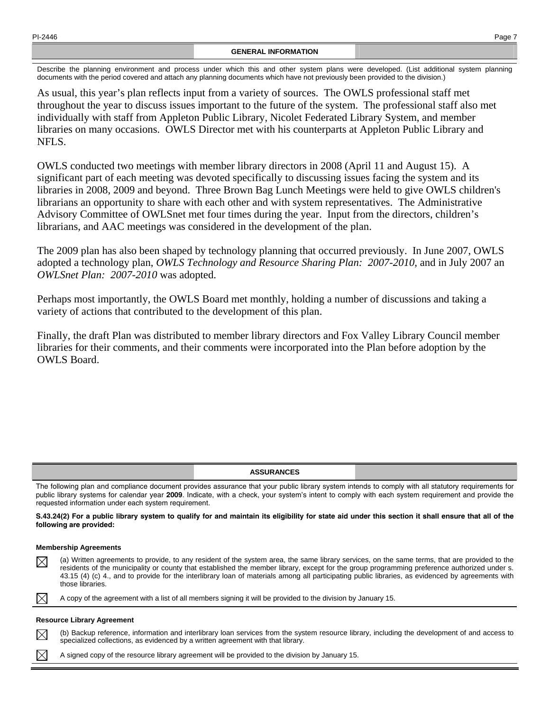### **GENERAL INFORMATION**

Describe the planning environment and process under which this and other system plans were developed. (List additional system planning documents with the period covered and attach any planning documents which have not previously been provided to the division.)

As usual, this year's plan reflects input from a variety of sources. The OWLS professional staff met throughout the year to discuss issues important to the future of the system. The professional staff also met individually with staff from Appleton Public Library, Nicolet Federated Library System, and member libraries on many occasions. OWLS Director met with his counterparts at Appleton Public Library and NFLS.

OWLS conducted two meetings with member library directors in 2008 (April 11 and August 15). A significant part of each meeting was devoted specifically to discussing issues facing the system and its libraries in 2008, 2009 and beyond. Three Brown Bag Lunch Meetings were held to give OWLS children's librarians an opportunity to share with each other and with system representatives. The Administrative Advisory Committee of OWLSnet met four times during the year. Input from the directors, children's librarians, and AAC meetings was considered in the development of the plan.

The 2009 plan has also been shaped by technology planning that occurred previously. In June 2007, OWLS adopted a technology plan, *OWLS Technology and Resource Sharing Plan: 2007-2010*, and in July 2007 an *OWLSnet Plan: 2007-2010* was adopted.

Perhaps most importantly, the OWLS Board met monthly, holding a number of discussions and taking a variety of actions that contributed to the development of this plan.

Finally, the draft Plan was distributed to member library directors and Fox Valley Library Council member libraries for their comments, and their comments were incorporated into the Plan before adoption by the OWLS Board.

#### **ASSURANCES**

The following plan and compliance document provides assurance that your public library system intends to comply with all statutory requirements for public library systems for calendar year **2009**. Indicate, with a check, your system's intent to comply with each system requirement and provide the requested information under each system requirement.

**S.43.24(2) For a public library system to qualify for and maintain its eligibility for state aid under this section it shall ensure that all of the following are provided:** 

#### **Membership Agreements**

(a) Written agreements to provide, to any resident of the system area, the same library services, on the same terms, that are provided to the  $\boxtimes$ residents of the municipality or county that established the member library, except for the group programming preference authorized under s. 43.15 (4) (c) 4., and to provide for the interlibrary loan of materials among all participating public libraries, as evidenced by agreements with those libraries.

 $\bowtie$ A copy of the agreement with a list of all members signing it will be provided to the division by January 15.

#### **Resource Library Agreement**

(b) Backup reference, information and interlibrary loan services from the system resource library, including the development of and access to M specialized collections, as evidenced by a written agreement with that library.

A signed copy of the resource library agreement will be provided to the division by January 15.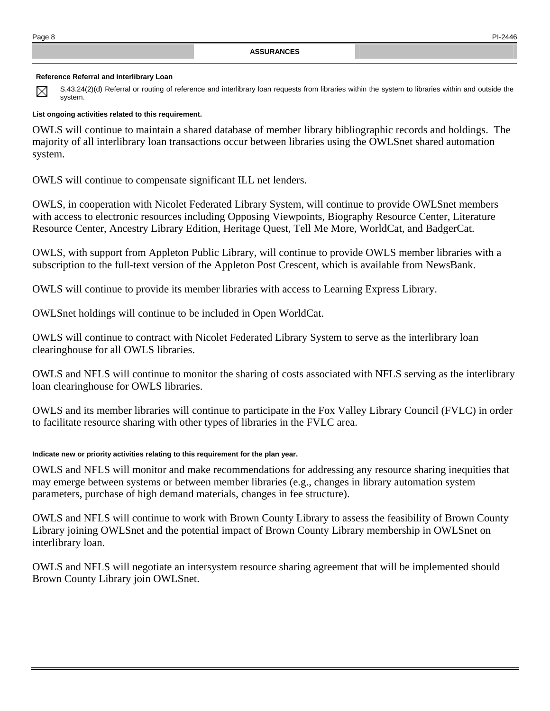### **Reference Referral and Interlibrary Loan**

S.43.24(2)(d) Referral or routing of reference and interlibrary loan requests from libraries within the system to libraries within and outside the  $\boxtimes$ system.

### **List ongoing activities related to this requirement.**

OWLS will continue to maintain a shared database of member library bibliographic records and holdings. The majority of all interlibrary loan transactions occur between libraries using the OWLSnet shared automation system.

OWLS will continue to compensate significant ILL net lenders.

OWLS, in cooperation with Nicolet Federated Library System, will continue to provide OWLSnet members with access to electronic resources including Opposing Viewpoints, Biography Resource Center, Literature Resource Center, Ancestry Library Edition, Heritage Quest, Tell Me More, WorldCat, and BadgerCat.

OWLS, with support from Appleton Public Library, will continue to provide OWLS member libraries with a subscription to the full-text version of the Appleton Post Crescent, which is available from NewsBank.

OWLS will continue to provide its member libraries with access to Learning Express Library.

OWLSnet holdings will continue to be included in Open WorldCat.

OWLS will continue to contract with Nicolet Federated Library System to serve as the interlibrary loan clearinghouse for all OWLS libraries.

OWLS and NFLS will continue to monitor the sharing of costs associated with NFLS serving as the interlibrary loan clearinghouse for OWLS libraries.

OWLS and its member libraries will continue to participate in the Fox Valley Library Council (FVLC) in order to facilitate resource sharing with other types of libraries in the FVLC area.

### **Indicate new or priority activities relating to this requirement for the plan year.**

OWLS and NFLS will monitor and make recommendations for addressing any resource sharing inequities that may emerge between systems or between member libraries (e.g., changes in library automation system parameters, purchase of high demand materials, changes in fee structure).

OWLS and NFLS will continue to work with Brown County Library to assess the feasibility of Brown County Library joining OWLSnet and the potential impact of Brown County Library membership in OWLSnet on interlibrary loan.

OWLS and NFLS will negotiate an intersystem resource sharing agreement that will be implemented should Brown County Library join OWLSnet.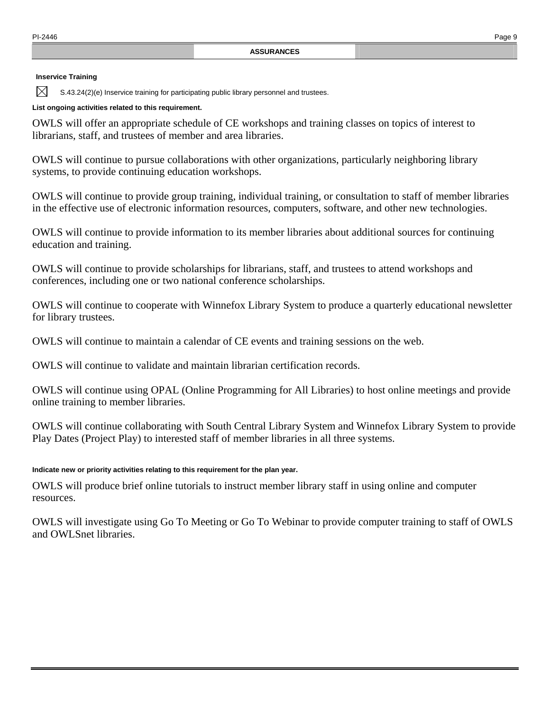### **Inservice Training**

 $\boxtimes$ 

S.43.24(2)(e) Inservice training for participating public library personnel and trustees.

### **List ongoing activities related to this requirement.**

OWLS will offer an appropriate schedule of CE workshops and training classes on topics of interest to librarians, staff, and trustees of member and area libraries.

OWLS will continue to pursue collaborations with other organizations, particularly neighboring library systems, to provide continuing education workshops.

OWLS will continue to provide group training, individual training, or consultation to staff of member libraries in the effective use of electronic information resources, computers, software, and other new technologies.

OWLS will continue to provide information to its member libraries about additional sources for continuing education and training.

OWLS will continue to provide scholarships for librarians, staff, and trustees to attend workshops and conferences, including one or two national conference scholarships.

OWLS will continue to cooperate with Winnefox Library System to produce a quarterly educational newsletter for library trustees.

OWLS will continue to maintain a calendar of CE events and training sessions on the web.

OWLS will continue to validate and maintain librarian certification records.

OWLS will continue using OPAL (Online Programming for All Libraries) to host online meetings and provide online training to member libraries.

OWLS will continue collaborating with South Central Library System and Winnefox Library System to provide Play Dates (Project Play) to interested staff of member libraries in all three systems.

## **Indicate new or priority activities relating to this requirement for the plan year.**

OWLS will produce brief online tutorials to instruct member library staff in using online and computer resources.

OWLS will investigate using Go To Meeting or Go To Webinar to provide computer training to staff of OWLS and OWLSnet libraries.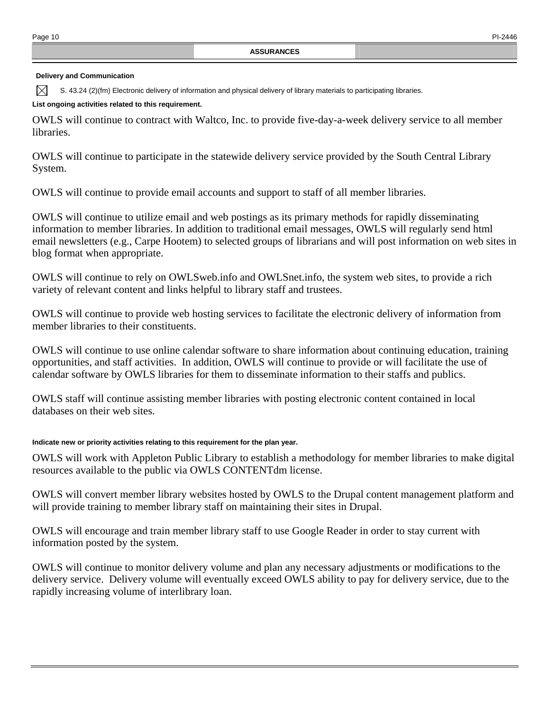### **Delivery and Communication**

S. 43.24 (2)(fm) Electronic delivery of information and physical delivery of library materials to participating libraries. M

### **List ongoing activities related to this requirement.**

OWLS will continue to contract with Waltco, Inc. to provide five-day-a-week delivery service to all member libraries.

OWLS will continue to participate in the statewide delivery service provided by the South Central Library System.

OWLS will continue to provide email accounts and support to staff of all member libraries.

OWLS will continue to utilize email and web postings as its primary methods for rapidly disseminating information to member libraries. In addition to traditional email messages, OWLS will regularly send html email newsletters (e.g., Carpe Hootem) to selected groups of librarians and will post information on web sites in blog format when appropriate.

OWLS will continue to rely on OWLSweb.info and OWLSnet.info, the system web sites, to provide a rich variety of relevant content and links helpful to library staff and trustees.

OWLS will continue to provide web hosting services to facilitate the electronic delivery of information from member libraries to their constituents.

OWLS will continue to use online calendar software to share information about continuing education, training opportunities, and staff activities. In addition, OWLS will continue to provide or will facilitate the use of calendar software by OWLS libraries for them to disseminate information to their staffs and publics.

OWLS staff will continue assisting member libraries with posting electronic content contained in local databases on their web sites.

## **Indicate new or priority activities relating to this requirement for the plan year.**

OWLS will work with Appleton Public Library to establish a methodology for member libraries to make digital resources available to the public via OWLS CONTENTdm license.

OWLS will convert member library websites hosted by OWLS to the Drupal content management platform and will provide training to member library staff on maintaining their sites in Drupal.

OWLS will encourage and train member library staff to use Google Reader in order to stay current with information posted by the system.

OWLS will continue to monitor delivery volume and plan any necessary adjustments or modifications to the delivery service. Delivery volume will eventually exceed OWLS ability to pay for delivery service, due to the rapidly increasing volume of interlibrary loan.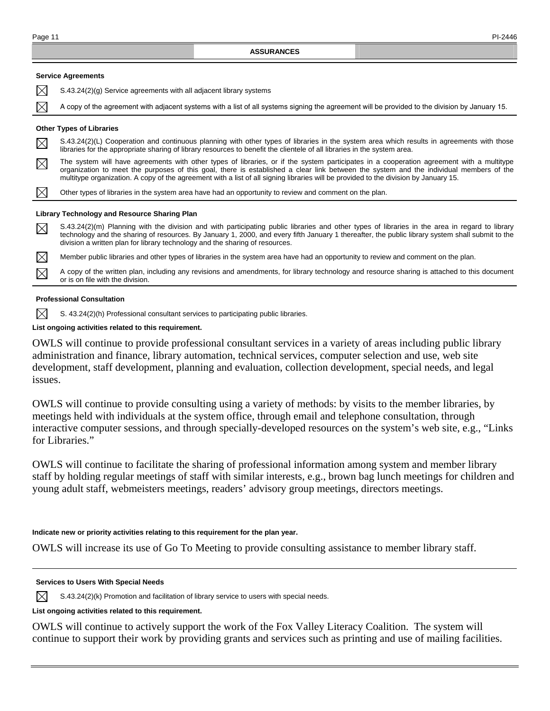|             | <b>ASSURANCES</b>                                                                                                                                                                                                                                                                                                                                                                                                          |
|-------------|----------------------------------------------------------------------------------------------------------------------------------------------------------------------------------------------------------------------------------------------------------------------------------------------------------------------------------------------------------------------------------------------------------------------------|
|             | <b>Service Agreements</b>                                                                                                                                                                                                                                                                                                                                                                                                  |
| $\boxtimes$ | S.43.24(2)(g) Service agreements with all adjacent library systems                                                                                                                                                                                                                                                                                                                                                         |
| $\boxtimes$ | A copy of the agreement with adjacent systems with a list of all systems signing the agreement will be provided to the division by January 15.                                                                                                                                                                                                                                                                             |
|             | <b>Other Types of Libraries</b>                                                                                                                                                                                                                                                                                                                                                                                            |
| $\boxtimes$ | S.43.24(2)(L) Cooperation and continuous planning with other types of libraries in the system area which results in agreements with those<br>libraries for the appropriate sharing of library resources to benefit the clientele of all libraries in the system area.                                                                                                                                                      |
| $\boxtimes$ | The system will have agreements with other types of libraries, or if the system participates in a cooperation agreement with a multitype<br>organization to meet the purposes of this goal, there is established a clear link between the system and the individual members of the<br>multitype organization. A copy of the agreement with a list of all signing libraries will be provided to the division by January 15. |
| $\boxtimes$ | Other types of libraries in the system area have had an opportunity to review and comment on the plan.                                                                                                                                                                                                                                                                                                                     |
|             | Library Technology and Resource Sharing Plan                                                                                                                                                                                                                                                                                                                                                                               |
| $\boxtimes$ | S.43.24(2)(m) Planning with the division and with participating public libraries and other types of libraries in the area in regard to library<br>technology and the sharing of resources. By January 1, 2000, and every fifth January 1 thereafter, the public library system shall submit to the<br>division a written plan for library technology and the sharing of resources.                                         |
| $\boxtimes$ | Member public libraries and other types of libraries in the system area have had an opportunity to review and comment on the plan.                                                                                                                                                                                                                                                                                         |
| $\boxtimes$ | A copy of the written plan, including any revisions and amendments, for library technology and resource sharing is attached to this document<br>or is on file with the division.                                                                                                                                                                                                                                           |

### **Professional Consultation**

 $\boxtimes$ S. 43.24(2)(h) Professional consultant services to participating public libraries.

### **List ongoing activities related to this requirement.**

OWLS will continue to provide professional consultant services in a variety of areas including public library administration and finance, library automation, technical services, computer selection and use, web site development, staff development, planning and evaluation, collection development, special needs, and legal issues.

OWLS will continue to provide consulting using a variety of methods: by visits to the member libraries, by meetings held with individuals at the system office, through email and telephone consultation, through interactive computer sessions, and through specially-developed resources on the system's web site, e.g., "Links for Libraries."

OWLS will continue to facilitate the sharing of professional information among system and member library staff by holding regular meetings of staff with similar interests, e.g., brown bag lunch meetings for children and young adult staff, webmeisters meetings, readers' advisory group meetings, directors meetings.

### **Indicate new or priority activities relating to this requirement for the plan year.**

OWLS will increase its use of Go To Meeting to provide consulting assistance to member library staff.

### **Services to Users With Special Needs**

 $\boxtimes$ S.43.24(2)(k) Promotion and facilitation of library service to users with special needs.

### **List ongoing activities related to this requirement.**

OWLS will continue to actively support the work of the Fox Valley Literacy Coalition. The system will continue to support their work by providing grants and services such as printing and use of mailing facilities.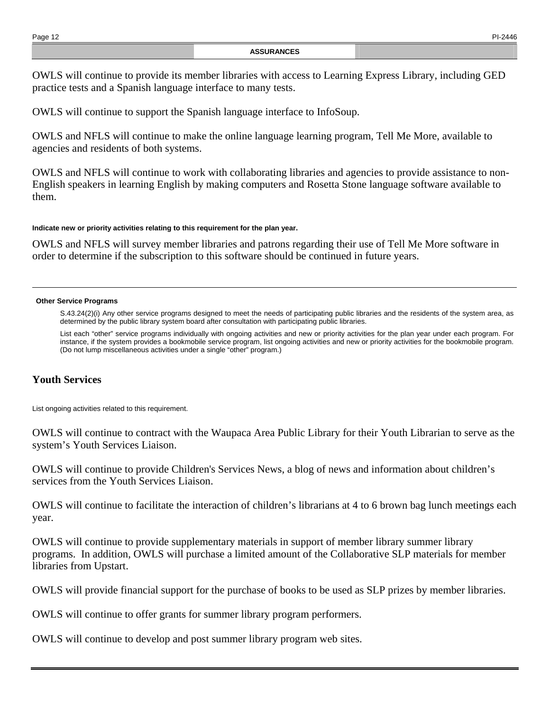OWLS will continue to provide its member libraries with access to Learning Express Library, including GED practice tests and a Spanish language interface to many tests.

OWLS will continue to support the Spanish language interface to InfoSoup.

OWLS and NFLS will continue to make the online language learning program, Tell Me More, available to agencies and residents of both systems.

OWLS and NFLS will continue to work with collaborating libraries and agencies to provide assistance to non-English speakers in learning English by making computers and Rosetta Stone language software available to them.

### **Indicate new or priority activities relating to this requirement for the plan year.**

OWLS and NFLS will survey member libraries and patrons regarding their use of Tell Me More software in order to determine if the subscription to this software should be continued in future years.

### **Other Service Programs**

S.43.24(2)(i) Any other service programs designed to meet the needs of participating public libraries and the residents of the system area, as determined by the public library system board after consultation with participating public libraries.

 List each "other" service programs individually with ongoing activities and new or priority activities for the plan year under each program. For instance, if the system provides a bookmobile service program, list ongoing activities and new or priority activities for the bookmobile program. (Do not lump miscellaneous activities under a single "other" program.)

# **Youth Services**

List ongoing activities related to this requirement.

OWLS will continue to contract with the Waupaca Area Public Library for their Youth Librarian to serve as the system's Youth Services Liaison.

OWLS will continue to provide Children's Services News, a blog of news and information about children's services from the Youth Services Liaison.

OWLS will continue to facilitate the interaction of children's librarians at 4 to 6 brown bag lunch meetings each year.

OWLS will continue to provide supplementary materials in support of member library summer library programs. In addition, OWLS will purchase a limited amount of the Collaborative SLP materials for member libraries from Upstart.

OWLS will provide financial support for the purchase of books to be used as SLP prizes by member libraries.

OWLS will continue to offer grants for summer library program performers.

OWLS will continue to develop and post summer library program web sites.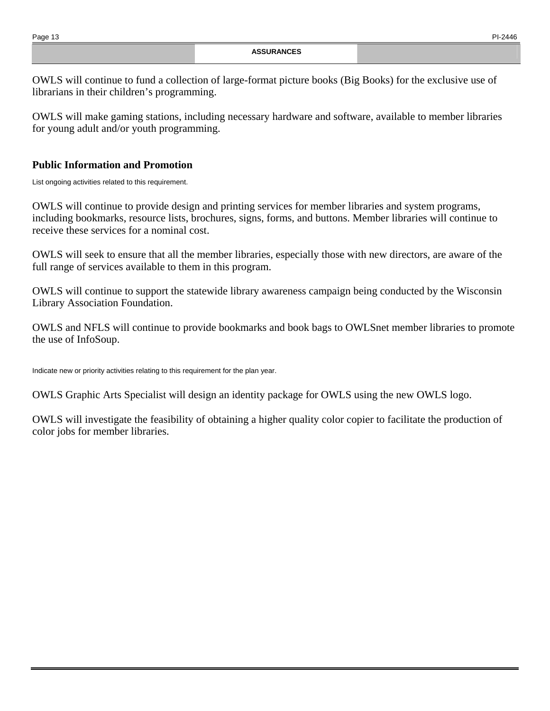OWLS will continue to fund a collection of large-format picture books (Big Books) for the exclusive use of librarians in their children's programming.

OWLS will make gaming stations, including necessary hardware and software, available to member libraries for young adult and/or youth programming.

# **Public Information and Promotion**

List ongoing activities related to this requirement.

OWLS will continue to provide design and printing services for member libraries and system programs, including bookmarks, resource lists, brochures, signs, forms, and buttons. Member libraries will continue to receive these services for a nominal cost.

OWLS will seek to ensure that all the member libraries, especially those with new directors, are aware of the full range of services available to them in this program.

OWLS will continue to support the statewide library awareness campaign being conducted by the Wisconsin Library Association Foundation.

OWLS and NFLS will continue to provide bookmarks and book bags to OWLSnet member libraries to promote the use of InfoSoup.

Indicate new or priority activities relating to this requirement for the plan year.

OWLS Graphic Arts Specialist will design an identity package for OWLS using the new OWLS logo.

OWLS will investigate the feasibility of obtaining a higher quality color copier to facilitate the production of color jobs for member libraries.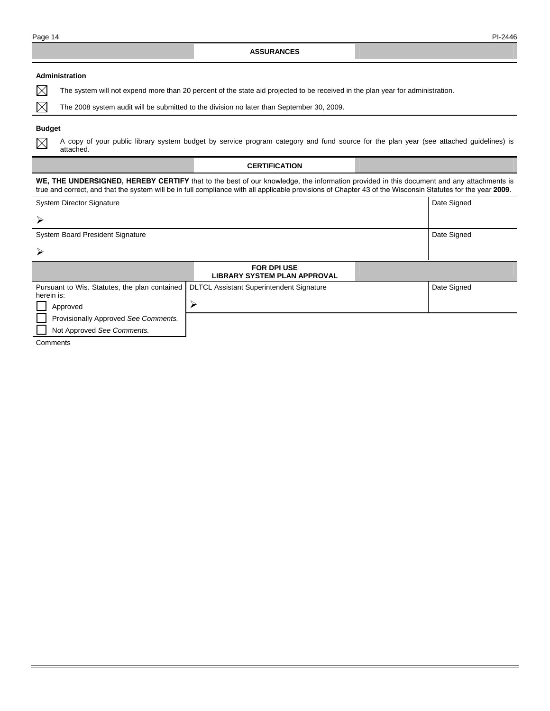### **Administration**

 $\boxtimes$ The system will not expend more than 20 percent of the state aid projected to be received in the plan year for administration.

The 2008 system audit will be submitted to the division no later than September 30, 2009.

### **Budget**

 $\boxtimes$ 

 $\boxtimes$ 

A copy of your public library system budget by service program category and fund source for the plan year (see attached guidelines) is attached.

#### **CERTIFICATION**

**WE, THE UNDERSIGNED, HEREBY CERTIFY** that to the best of our knowledge, the information provided in this document and any attachments is true and correct, and that the system will be in full compliance with all applicable provisions of Chapter 43 of the Wisconsin Statutes for the year **2009**.

| <b>System Director Signature</b>                            |                                                           | Date Signed |
|-------------------------------------------------------------|-----------------------------------------------------------|-------------|
| ➤                                                           |                                                           |             |
| <b>System Board President Signature</b>                     |                                                           | Date Signed |
| ≻                                                           |                                                           |             |
|                                                             | <b>FOR DPI USE</b><br><b>LIBRARY SYSTEM PLAN APPROVAL</b> |             |
| Pursuant to Wis. Statutes, the plan contained<br>herein is: | <b>DLTCL Assistant Superintendent Signature</b>           | Date Signed |
| Approved                                                    | ↘                                                         |             |
| Provisionally Approved See Comments.                        |                                                           |             |
| Not Approved See Comments.                                  |                                                           |             |

Comments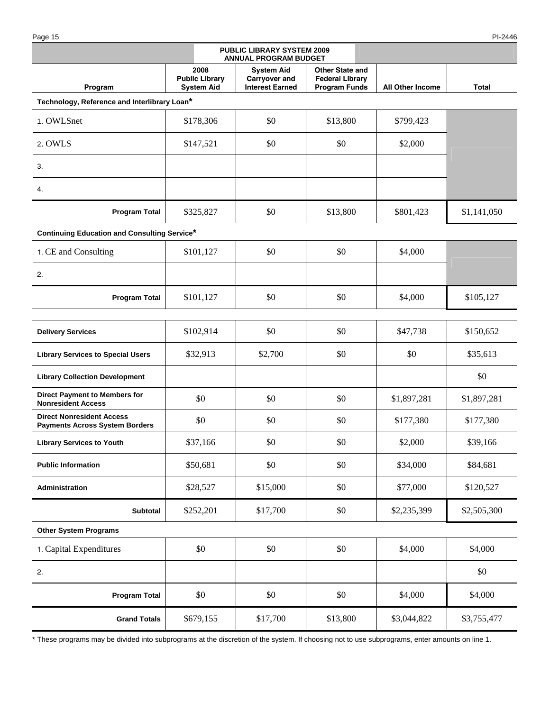Page 15 PI-2446

| <b>PUBLIC LIBRARY SYSTEM 2009</b><br><b>ANNUAL PROGRAM BUDGET</b>         |                                                    |                                                              |                                                                          |                         |             |  |
|---------------------------------------------------------------------------|----------------------------------------------------|--------------------------------------------------------------|--------------------------------------------------------------------------|-------------------------|-------------|--|
| Program                                                                   | 2008<br><b>Public Library</b><br><b>System Aid</b> | <b>System Aid</b><br>Carryover and<br><b>Interest Earned</b> | <b>Other State and</b><br><b>Federal Library</b><br><b>Program Funds</b> | <b>All Other Income</b> | Total       |  |
| Technology, Reference and Interlibrary Loan*                              |                                                    |                                                              |                                                                          |                         |             |  |
| 1. OWLSnet                                                                | \$178,306                                          | \$0                                                          | \$13,800                                                                 | \$799,423               |             |  |
| 2. OWLS                                                                   | \$147,521                                          | \$0                                                          | \$0                                                                      | \$2,000                 |             |  |
| 3.                                                                        |                                                    |                                                              |                                                                          |                         |             |  |
| 4.                                                                        |                                                    |                                                              |                                                                          |                         |             |  |
| <b>Program Total</b>                                                      | \$325,827                                          | \$0                                                          | \$13,800                                                                 | \$801,423               | \$1,141,050 |  |
| <b>Continuing Education and Consulting Service*</b>                       |                                                    |                                                              |                                                                          |                         |             |  |
| 1. CE and Consulting                                                      | \$101,127                                          | \$0                                                          | \$0                                                                      | \$4,000                 |             |  |
| 2.                                                                        |                                                    |                                                              |                                                                          |                         |             |  |
| <b>Program Total</b>                                                      | \$101,127                                          | \$0                                                          | \$0                                                                      | \$4,000                 | \$105,127   |  |
| <b>Delivery Services</b>                                                  | \$102,914                                          | \$0                                                          | \$0                                                                      | \$47,738                | \$150,652   |  |
|                                                                           |                                                    |                                                              |                                                                          |                         |             |  |
| <b>Library Services to Special Users</b>                                  | \$32,913                                           | \$2,700                                                      | \$0                                                                      | \$0                     | \$35,613    |  |
| <b>Library Collection Development</b>                                     |                                                    |                                                              |                                                                          |                         | \$0         |  |
| <b>Direct Payment to Members for</b><br><b>Nonresident Access</b>         | \$0                                                | \$0                                                          | \$0                                                                      | \$1,897,281             | \$1,897,281 |  |
| <b>Direct Nonresident Access</b><br><b>Payments Across System Borders</b> | \$0                                                | \$0                                                          | \$0                                                                      | \$177,380               | \$177,380   |  |
| <b>Library Services to Youth</b>                                          | \$37,166                                           | \$0                                                          | \$0                                                                      | \$2,000                 | \$39,166    |  |
| <b>Public Information</b>                                                 | \$50,681                                           | \$0                                                          | \$0                                                                      | \$34,000                | \$84,681    |  |
| Administration                                                            | \$28,527                                           | \$15,000                                                     | \$0                                                                      | \$77,000                | \$120,527   |  |
| <b>Subtotal</b>                                                           | \$252,201                                          | \$17,700                                                     | \$0                                                                      | \$2,235,399             | \$2,505,300 |  |
| <b>Other System Programs</b>                                              |                                                    |                                                              |                                                                          |                         |             |  |
| 1. Capital Expenditures                                                   | \$0                                                | \$0                                                          | \$0                                                                      | \$4,000                 | \$4,000     |  |
| 2.                                                                        |                                                    |                                                              |                                                                          |                         | \$0         |  |
| <b>Program Total</b>                                                      | \$0                                                | \$0                                                          | \$0                                                                      | \$4,000                 | \$4,000     |  |
| <b>Grand Totals</b>                                                       | \$679,155                                          | \$17,700                                                     | \$13,800                                                                 | \$3,044,822             | \$3,755,477 |  |

\* These programs may be divided into subprograms at the discretion of the system. If choosing not to use subprograms, enter amounts on line 1.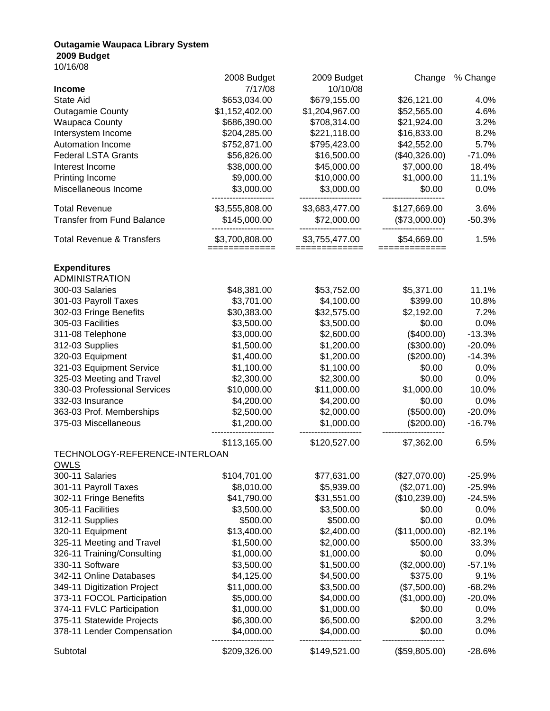## **Outagamie Waupaca Library System 2009 Budget**

10/16/08

| 7/17/08<br>10/10/08<br><b>Income</b><br>\$653,034.00<br>\$679,155.00<br>4.0%<br><b>State Aid</b><br>\$26,121.00<br>\$1,152,402.00<br>\$52,565.00<br>4.6%<br>\$1,204,967.00<br><b>Outagamie County</b><br>3.2%<br>\$686,390.00<br>\$708,314.00<br>\$21,924.00<br><b>Waupaca County</b><br>Intersystem Income<br>\$204,285.00<br>\$221,118.00<br>\$16,833.00<br>8.2%<br>\$42,552.00<br>5.7%<br>Automation Income<br>\$752,871.00<br>\$795,423.00<br>\$56,826.00<br>\$16,500.00<br>(\$40,326.00)<br>$-71.0%$<br><b>Federal LSTA Grants</b><br>\$38,000.00<br>\$7,000.00<br>18.4%<br>\$45,000.00<br>Interest Income<br>\$10,000.00<br>\$1,000.00<br>11.1%<br>Printing Income<br>\$9,000.00<br>Miscellaneous Income<br>\$3,000.00<br>\$3,000.00<br>\$0.00<br>0.0%<br><b>Total Revenue</b><br>\$3,555,808.00<br>\$3,683,477.00<br>\$127,669.00<br>3.6%<br><b>Transfer from Fund Balance</b><br>\$145,000.00<br>\$72,000.00<br>(\$73,000.00)<br>$-50.3%$<br><b>Total Revenue &amp; Transfers</b><br>\$3,700,808.00<br>\$3,755,477.00<br>\$54,669.00<br>1.5%<br>=============<br>=============<br>=============<br><b>Expenditures</b><br><b>ADMINISTRATION</b><br>300-03 Salaries<br>\$48,381.00<br>\$53,752.00<br>\$5,371.00<br>11.1%<br>\$3,701.00<br>\$4,100.00<br>10.8%<br>301-03 Payroll Taxes<br>\$399.00<br>\$30,383.00<br>\$32,575.00<br>\$2,192.00<br>7.2%<br>302-03 Fringe Benefits<br>\$3,500.00<br>\$0.00<br>0.0%<br>305-03 Facilities<br>\$3,500.00<br>\$3,000.00<br>\$2,600.00<br>(\$400.00)<br>$-13.3%$<br>311-08 Telephone<br>\$1,500.00<br>(\$300.00)<br>$-20.0%$<br>312-03 Supplies<br>\$1,200.00<br>(\$200.00)<br>320-03 Equipment<br>\$1,400.00<br>\$1,200.00<br>$-14.3%$<br>\$1,100.00<br>\$0.00<br>321-03 Equipment Service<br>\$1,100.00<br>0.0%<br>\$2,300.00<br>\$0.00<br>325-03 Meeting and Travel<br>\$2,300.00<br>0.0%<br>\$10,000.00<br>\$11,000.00<br>\$1,000.00<br>330-03 Professional Services<br>10.0%<br>\$4,200.00<br>\$4,200.00<br>\$0.00<br>0.0%<br>332-03 Insurance<br>\$2,500.00<br>\$2,000.00<br>(\$500.00)<br>363-03 Prof. Memberships<br>$-20.0%$<br>\$1,200.00<br>\$1,000.00<br>(\$200.00)<br>375-03 Miscellaneous<br>$-16.7%$<br>6.5%<br>\$113,165.00<br>\$120,527.00<br>\$7,362.00<br>TECHNOLOGY-REFERENCE-INTERLOAN<br><b>OWLS</b><br>300-11 Salaries<br>\$104,701.00<br>\$77,631.00<br>(\$27,070.00)<br>$-25.9%$<br>\$8,010.00<br>\$5,939.00<br>(\$2,071.00)<br>301-11 Payroll Taxes<br>$-25.9%$<br>(\$10,239.00)<br>302-11 Fringe Benefits<br>\$41,790.00<br>\$31,551.00<br>$-24.5%$<br>305-11 Facilities<br>\$3,500.00<br>\$3,500.00<br>\$0.00<br>0.0%<br>312-11 Supplies<br>\$0.00<br>\$500.00<br>\$500.00<br>0.0%<br>320-11 Equipment<br>\$13,400.00<br>\$2,400.00<br>(\$11,000.00)<br>$-82.1%$<br>325-11 Meeting and Travel<br>\$500.00<br>33.3%<br>\$1,500.00<br>\$2,000.00<br>326-11 Training/Consulting<br>\$1,000.00<br>\$1,000.00<br>\$0.00<br>0.0%<br>330-11 Software<br>\$3,500.00<br>\$1,500.00<br>(\$2,000.00)<br>$-57.1%$<br>\$4,125.00<br>342-11 Online Databases<br>\$4,500.00<br>\$375.00<br>9.1%<br>349-11 Digitization Project<br>\$11,000.00<br>\$3,500.00<br>(\$7,500.00)<br>$-68.2%$<br>373-11 FOCOL Participation<br>\$5,000.00<br>\$4,000.00<br>(\$1,000.00)<br>$-20.0%$<br>374-11 FVLC Participation<br>\$1,000.00<br>\$1,000.00<br>\$0.00<br>0.0%<br>\$200.00<br>375-11 Statewide Projects<br>\$6,300.00<br>\$6,500.00<br>3.2%<br>378-11 Lender Compensation<br>\$4,000.00<br>\$4,000.00<br>\$0.00<br>0.0% |          | 2008 Budget  | 2009 Budget  | Change        | % Change |
|-------------------------------------------------------------------------------------------------------------------------------------------------------------------------------------------------------------------------------------------------------------------------------------------------------------------------------------------------------------------------------------------------------------------------------------------------------------------------------------------------------------------------------------------------------------------------------------------------------------------------------------------------------------------------------------------------------------------------------------------------------------------------------------------------------------------------------------------------------------------------------------------------------------------------------------------------------------------------------------------------------------------------------------------------------------------------------------------------------------------------------------------------------------------------------------------------------------------------------------------------------------------------------------------------------------------------------------------------------------------------------------------------------------------------------------------------------------------------------------------------------------------------------------------------------------------------------------------------------------------------------------------------------------------------------------------------------------------------------------------------------------------------------------------------------------------------------------------------------------------------------------------------------------------------------------------------------------------------------------------------------------------------------------------------------------------------------------------------------------------------------------------------------------------------------------------------------------------------------------------------------------------------------------------------------------------------------------------------------------------------------------------------------------------------------------------------------------------------------------------------------------------------------------------------------------------------------------------------------------------------------------------------------------------------------------------------------------------------------------------------------------------------------------------------------------------------------------------------------------------------------------------------------------------------------------------------------------------------------------------------------------------------------------------------------------------------------------------------------------------------------------------------------------------------------------------------------------------------------------------------------------------------------------------------------------------------------------------------------------------------------------------------------------------------------------------------------------------------------|----------|--------------|--------------|---------------|----------|
|                                                                                                                                                                                                                                                                                                                                                                                                                                                                                                                                                                                                                                                                                                                                                                                                                                                                                                                                                                                                                                                                                                                                                                                                                                                                                                                                                                                                                                                                                                                                                                                                                                                                                                                                                                                                                                                                                                                                                                                                                                                                                                                                                                                                                                                                                                                                                                                                                                                                                                                                                                                                                                                                                                                                                                                                                                                                                                                                                                                                                                                                                                                                                                                                                                                                                                                                                                                                                                                                               |          |              |              |               |          |
|                                                                                                                                                                                                                                                                                                                                                                                                                                                                                                                                                                                                                                                                                                                                                                                                                                                                                                                                                                                                                                                                                                                                                                                                                                                                                                                                                                                                                                                                                                                                                                                                                                                                                                                                                                                                                                                                                                                                                                                                                                                                                                                                                                                                                                                                                                                                                                                                                                                                                                                                                                                                                                                                                                                                                                                                                                                                                                                                                                                                                                                                                                                                                                                                                                                                                                                                                                                                                                                                               |          |              |              |               |          |
|                                                                                                                                                                                                                                                                                                                                                                                                                                                                                                                                                                                                                                                                                                                                                                                                                                                                                                                                                                                                                                                                                                                                                                                                                                                                                                                                                                                                                                                                                                                                                                                                                                                                                                                                                                                                                                                                                                                                                                                                                                                                                                                                                                                                                                                                                                                                                                                                                                                                                                                                                                                                                                                                                                                                                                                                                                                                                                                                                                                                                                                                                                                                                                                                                                                                                                                                                                                                                                                                               |          |              |              |               |          |
|                                                                                                                                                                                                                                                                                                                                                                                                                                                                                                                                                                                                                                                                                                                                                                                                                                                                                                                                                                                                                                                                                                                                                                                                                                                                                                                                                                                                                                                                                                                                                                                                                                                                                                                                                                                                                                                                                                                                                                                                                                                                                                                                                                                                                                                                                                                                                                                                                                                                                                                                                                                                                                                                                                                                                                                                                                                                                                                                                                                                                                                                                                                                                                                                                                                                                                                                                                                                                                                                               |          |              |              |               |          |
|                                                                                                                                                                                                                                                                                                                                                                                                                                                                                                                                                                                                                                                                                                                                                                                                                                                                                                                                                                                                                                                                                                                                                                                                                                                                                                                                                                                                                                                                                                                                                                                                                                                                                                                                                                                                                                                                                                                                                                                                                                                                                                                                                                                                                                                                                                                                                                                                                                                                                                                                                                                                                                                                                                                                                                                                                                                                                                                                                                                                                                                                                                                                                                                                                                                                                                                                                                                                                                                                               |          |              |              |               |          |
|                                                                                                                                                                                                                                                                                                                                                                                                                                                                                                                                                                                                                                                                                                                                                                                                                                                                                                                                                                                                                                                                                                                                                                                                                                                                                                                                                                                                                                                                                                                                                                                                                                                                                                                                                                                                                                                                                                                                                                                                                                                                                                                                                                                                                                                                                                                                                                                                                                                                                                                                                                                                                                                                                                                                                                                                                                                                                                                                                                                                                                                                                                                                                                                                                                                                                                                                                                                                                                                                               |          |              |              |               |          |
|                                                                                                                                                                                                                                                                                                                                                                                                                                                                                                                                                                                                                                                                                                                                                                                                                                                                                                                                                                                                                                                                                                                                                                                                                                                                                                                                                                                                                                                                                                                                                                                                                                                                                                                                                                                                                                                                                                                                                                                                                                                                                                                                                                                                                                                                                                                                                                                                                                                                                                                                                                                                                                                                                                                                                                                                                                                                                                                                                                                                                                                                                                                                                                                                                                                                                                                                                                                                                                                                               |          |              |              |               |          |
|                                                                                                                                                                                                                                                                                                                                                                                                                                                                                                                                                                                                                                                                                                                                                                                                                                                                                                                                                                                                                                                                                                                                                                                                                                                                                                                                                                                                                                                                                                                                                                                                                                                                                                                                                                                                                                                                                                                                                                                                                                                                                                                                                                                                                                                                                                                                                                                                                                                                                                                                                                                                                                                                                                                                                                                                                                                                                                                                                                                                                                                                                                                                                                                                                                                                                                                                                                                                                                                                               |          |              |              |               |          |
|                                                                                                                                                                                                                                                                                                                                                                                                                                                                                                                                                                                                                                                                                                                                                                                                                                                                                                                                                                                                                                                                                                                                                                                                                                                                                                                                                                                                                                                                                                                                                                                                                                                                                                                                                                                                                                                                                                                                                                                                                                                                                                                                                                                                                                                                                                                                                                                                                                                                                                                                                                                                                                                                                                                                                                                                                                                                                                                                                                                                                                                                                                                                                                                                                                                                                                                                                                                                                                                                               |          |              |              |               |          |
|                                                                                                                                                                                                                                                                                                                                                                                                                                                                                                                                                                                                                                                                                                                                                                                                                                                                                                                                                                                                                                                                                                                                                                                                                                                                                                                                                                                                                                                                                                                                                                                                                                                                                                                                                                                                                                                                                                                                                                                                                                                                                                                                                                                                                                                                                                                                                                                                                                                                                                                                                                                                                                                                                                                                                                                                                                                                                                                                                                                                                                                                                                                                                                                                                                                                                                                                                                                                                                                                               |          |              |              |               |          |
|                                                                                                                                                                                                                                                                                                                                                                                                                                                                                                                                                                                                                                                                                                                                                                                                                                                                                                                                                                                                                                                                                                                                                                                                                                                                                                                                                                                                                                                                                                                                                                                                                                                                                                                                                                                                                                                                                                                                                                                                                                                                                                                                                                                                                                                                                                                                                                                                                                                                                                                                                                                                                                                                                                                                                                                                                                                                                                                                                                                                                                                                                                                                                                                                                                                                                                                                                                                                                                                                               |          |              |              |               |          |
|                                                                                                                                                                                                                                                                                                                                                                                                                                                                                                                                                                                                                                                                                                                                                                                                                                                                                                                                                                                                                                                                                                                                                                                                                                                                                                                                                                                                                                                                                                                                                                                                                                                                                                                                                                                                                                                                                                                                                                                                                                                                                                                                                                                                                                                                                                                                                                                                                                                                                                                                                                                                                                                                                                                                                                                                                                                                                                                                                                                                                                                                                                                                                                                                                                                                                                                                                                                                                                                                               |          |              |              |               |          |
|                                                                                                                                                                                                                                                                                                                                                                                                                                                                                                                                                                                                                                                                                                                                                                                                                                                                                                                                                                                                                                                                                                                                                                                                                                                                                                                                                                                                                                                                                                                                                                                                                                                                                                                                                                                                                                                                                                                                                                                                                                                                                                                                                                                                                                                                                                                                                                                                                                                                                                                                                                                                                                                                                                                                                                                                                                                                                                                                                                                                                                                                                                                                                                                                                                                                                                                                                                                                                                                                               |          |              |              |               |          |
|                                                                                                                                                                                                                                                                                                                                                                                                                                                                                                                                                                                                                                                                                                                                                                                                                                                                                                                                                                                                                                                                                                                                                                                                                                                                                                                                                                                                                                                                                                                                                                                                                                                                                                                                                                                                                                                                                                                                                                                                                                                                                                                                                                                                                                                                                                                                                                                                                                                                                                                                                                                                                                                                                                                                                                                                                                                                                                                                                                                                                                                                                                                                                                                                                                                                                                                                                                                                                                                                               |          |              |              |               |          |
|                                                                                                                                                                                                                                                                                                                                                                                                                                                                                                                                                                                                                                                                                                                                                                                                                                                                                                                                                                                                                                                                                                                                                                                                                                                                                                                                                                                                                                                                                                                                                                                                                                                                                                                                                                                                                                                                                                                                                                                                                                                                                                                                                                                                                                                                                                                                                                                                                                                                                                                                                                                                                                                                                                                                                                                                                                                                                                                                                                                                                                                                                                                                                                                                                                                                                                                                                                                                                                                                               |          |              |              |               |          |
|                                                                                                                                                                                                                                                                                                                                                                                                                                                                                                                                                                                                                                                                                                                                                                                                                                                                                                                                                                                                                                                                                                                                                                                                                                                                                                                                                                                                                                                                                                                                                                                                                                                                                                                                                                                                                                                                                                                                                                                                                                                                                                                                                                                                                                                                                                                                                                                                                                                                                                                                                                                                                                                                                                                                                                                                                                                                                                                                                                                                                                                                                                                                                                                                                                                                                                                                                                                                                                                                               |          |              |              |               |          |
|                                                                                                                                                                                                                                                                                                                                                                                                                                                                                                                                                                                                                                                                                                                                                                                                                                                                                                                                                                                                                                                                                                                                                                                                                                                                                                                                                                                                                                                                                                                                                                                                                                                                                                                                                                                                                                                                                                                                                                                                                                                                                                                                                                                                                                                                                                                                                                                                                                                                                                                                                                                                                                                                                                                                                                                                                                                                                                                                                                                                                                                                                                                                                                                                                                                                                                                                                                                                                                                                               |          |              |              |               |          |
|                                                                                                                                                                                                                                                                                                                                                                                                                                                                                                                                                                                                                                                                                                                                                                                                                                                                                                                                                                                                                                                                                                                                                                                                                                                                                                                                                                                                                                                                                                                                                                                                                                                                                                                                                                                                                                                                                                                                                                                                                                                                                                                                                                                                                                                                                                                                                                                                                                                                                                                                                                                                                                                                                                                                                                                                                                                                                                                                                                                                                                                                                                                                                                                                                                                                                                                                                                                                                                                                               |          |              |              |               |          |
|                                                                                                                                                                                                                                                                                                                                                                                                                                                                                                                                                                                                                                                                                                                                                                                                                                                                                                                                                                                                                                                                                                                                                                                                                                                                                                                                                                                                                                                                                                                                                                                                                                                                                                                                                                                                                                                                                                                                                                                                                                                                                                                                                                                                                                                                                                                                                                                                                                                                                                                                                                                                                                                                                                                                                                                                                                                                                                                                                                                                                                                                                                                                                                                                                                                                                                                                                                                                                                                                               |          |              |              |               |          |
|                                                                                                                                                                                                                                                                                                                                                                                                                                                                                                                                                                                                                                                                                                                                                                                                                                                                                                                                                                                                                                                                                                                                                                                                                                                                                                                                                                                                                                                                                                                                                                                                                                                                                                                                                                                                                                                                                                                                                                                                                                                                                                                                                                                                                                                                                                                                                                                                                                                                                                                                                                                                                                                                                                                                                                                                                                                                                                                                                                                                                                                                                                                                                                                                                                                                                                                                                                                                                                                                               |          |              |              |               |          |
|                                                                                                                                                                                                                                                                                                                                                                                                                                                                                                                                                                                                                                                                                                                                                                                                                                                                                                                                                                                                                                                                                                                                                                                                                                                                                                                                                                                                                                                                                                                                                                                                                                                                                                                                                                                                                                                                                                                                                                                                                                                                                                                                                                                                                                                                                                                                                                                                                                                                                                                                                                                                                                                                                                                                                                                                                                                                                                                                                                                                                                                                                                                                                                                                                                                                                                                                                                                                                                                                               |          |              |              |               |          |
|                                                                                                                                                                                                                                                                                                                                                                                                                                                                                                                                                                                                                                                                                                                                                                                                                                                                                                                                                                                                                                                                                                                                                                                                                                                                                                                                                                                                                                                                                                                                                                                                                                                                                                                                                                                                                                                                                                                                                                                                                                                                                                                                                                                                                                                                                                                                                                                                                                                                                                                                                                                                                                                                                                                                                                                                                                                                                                                                                                                                                                                                                                                                                                                                                                                                                                                                                                                                                                                                               |          |              |              |               |          |
|                                                                                                                                                                                                                                                                                                                                                                                                                                                                                                                                                                                                                                                                                                                                                                                                                                                                                                                                                                                                                                                                                                                                                                                                                                                                                                                                                                                                                                                                                                                                                                                                                                                                                                                                                                                                                                                                                                                                                                                                                                                                                                                                                                                                                                                                                                                                                                                                                                                                                                                                                                                                                                                                                                                                                                                                                                                                                                                                                                                                                                                                                                                                                                                                                                                                                                                                                                                                                                                                               |          |              |              |               |          |
|                                                                                                                                                                                                                                                                                                                                                                                                                                                                                                                                                                                                                                                                                                                                                                                                                                                                                                                                                                                                                                                                                                                                                                                                                                                                                                                                                                                                                                                                                                                                                                                                                                                                                                                                                                                                                                                                                                                                                                                                                                                                                                                                                                                                                                                                                                                                                                                                                                                                                                                                                                                                                                                                                                                                                                                                                                                                                                                                                                                                                                                                                                                                                                                                                                                                                                                                                                                                                                                                               |          |              |              |               |          |
|                                                                                                                                                                                                                                                                                                                                                                                                                                                                                                                                                                                                                                                                                                                                                                                                                                                                                                                                                                                                                                                                                                                                                                                                                                                                                                                                                                                                                                                                                                                                                                                                                                                                                                                                                                                                                                                                                                                                                                                                                                                                                                                                                                                                                                                                                                                                                                                                                                                                                                                                                                                                                                                                                                                                                                                                                                                                                                                                                                                                                                                                                                                                                                                                                                                                                                                                                                                                                                                                               |          |              |              |               |          |
|                                                                                                                                                                                                                                                                                                                                                                                                                                                                                                                                                                                                                                                                                                                                                                                                                                                                                                                                                                                                                                                                                                                                                                                                                                                                                                                                                                                                                                                                                                                                                                                                                                                                                                                                                                                                                                                                                                                                                                                                                                                                                                                                                                                                                                                                                                                                                                                                                                                                                                                                                                                                                                                                                                                                                                                                                                                                                                                                                                                                                                                                                                                                                                                                                                                                                                                                                                                                                                                                               |          |              |              |               |          |
|                                                                                                                                                                                                                                                                                                                                                                                                                                                                                                                                                                                                                                                                                                                                                                                                                                                                                                                                                                                                                                                                                                                                                                                                                                                                                                                                                                                                                                                                                                                                                                                                                                                                                                                                                                                                                                                                                                                                                                                                                                                                                                                                                                                                                                                                                                                                                                                                                                                                                                                                                                                                                                                                                                                                                                                                                                                                                                                                                                                                                                                                                                                                                                                                                                                                                                                                                                                                                                                                               |          |              |              |               |          |
|                                                                                                                                                                                                                                                                                                                                                                                                                                                                                                                                                                                                                                                                                                                                                                                                                                                                                                                                                                                                                                                                                                                                                                                                                                                                                                                                                                                                                                                                                                                                                                                                                                                                                                                                                                                                                                                                                                                                                                                                                                                                                                                                                                                                                                                                                                                                                                                                                                                                                                                                                                                                                                                                                                                                                                                                                                                                                                                                                                                                                                                                                                                                                                                                                                                                                                                                                                                                                                                                               |          |              |              |               |          |
|                                                                                                                                                                                                                                                                                                                                                                                                                                                                                                                                                                                                                                                                                                                                                                                                                                                                                                                                                                                                                                                                                                                                                                                                                                                                                                                                                                                                                                                                                                                                                                                                                                                                                                                                                                                                                                                                                                                                                                                                                                                                                                                                                                                                                                                                                                                                                                                                                                                                                                                                                                                                                                                                                                                                                                                                                                                                                                                                                                                                                                                                                                                                                                                                                                                                                                                                                                                                                                                                               |          |              |              |               |          |
|                                                                                                                                                                                                                                                                                                                                                                                                                                                                                                                                                                                                                                                                                                                                                                                                                                                                                                                                                                                                                                                                                                                                                                                                                                                                                                                                                                                                                                                                                                                                                                                                                                                                                                                                                                                                                                                                                                                                                                                                                                                                                                                                                                                                                                                                                                                                                                                                                                                                                                                                                                                                                                                                                                                                                                                                                                                                                                                                                                                                                                                                                                                                                                                                                                                                                                                                                                                                                                                                               |          |              |              |               |          |
|                                                                                                                                                                                                                                                                                                                                                                                                                                                                                                                                                                                                                                                                                                                                                                                                                                                                                                                                                                                                                                                                                                                                                                                                                                                                                                                                                                                                                                                                                                                                                                                                                                                                                                                                                                                                                                                                                                                                                                                                                                                                                                                                                                                                                                                                                                                                                                                                                                                                                                                                                                                                                                                                                                                                                                                                                                                                                                                                                                                                                                                                                                                                                                                                                                                                                                                                                                                                                                                                               |          |              |              |               |          |
|                                                                                                                                                                                                                                                                                                                                                                                                                                                                                                                                                                                                                                                                                                                                                                                                                                                                                                                                                                                                                                                                                                                                                                                                                                                                                                                                                                                                                                                                                                                                                                                                                                                                                                                                                                                                                                                                                                                                                                                                                                                                                                                                                                                                                                                                                                                                                                                                                                                                                                                                                                                                                                                                                                                                                                                                                                                                                                                                                                                                                                                                                                                                                                                                                                                                                                                                                                                                                                                                               |          |              |              |               |          |
|                                                                                                                                                                                                                                                                                                                                                                                                                                                                                                                                                                                                                                                                                                                                                                                                                                                                                                                                                                                                                                                                                                                                                                                                                                                                                                                                                                                                                                                                                                                                                                                                                                                                                                                                                                                                                                                                                                                                                                                                                                                                                                                                                                                                                                                                                                                                                                                                                                                                                                                                                                                                                                                                                                                                                                                                                                                                                                                                                                                                                                                                                                                                                                                                                                                                                                                                                                                                                                                                               |          |              |              |               |          |
|                                                                                                                                                                                                                                                                                                                                                                                                                                                                                                                                                                                                                                                                                                                                                                                                                                                                                                                                                                                                                                                                                                                                                                                                                                                                                                                                                                                                                                                                                                                                                                                                                                                                                                                                                                                                                                                                                                                                                                                                                                                                                                                                                                                                                                                                                                                                                                                                                                                                                                                                                                                                                                                                                                                                                                                                                                                                                                                                                                                                                                                                                                                                                                                                                                                                                                                                                                                                                                                                               |          |              |              |               |          |
|                                                                                                                                                                                                                                                                                                                                                                                                                                                                                                                                                                                                                                                                                                                                                                                                                                                                                                                                                                                                                                                                                                                                                                                                                                                                                                                                                                                                                                                                                                                                                                                                                                                                                                                                                                                                                                                                                                                                                                                                                                                                                                                                                                                                                                                                                                                                                                                                                                                                                                                                                                                                                                                                                                                                                                                                                                                                                                                                                                                                                                                                                                                                                                                                                                                                                                                                                                                                                                                                               |          |              |              |               |          |
|                                                                                                                                                                                                                                                                                                                                                                                                                                                                                                                                                                                                                                                                                                                                                                                                                                                                                                                                                                                                                                                                                                                                                                                                                                                                                                                                                                                                                                                                                                                                                                                                                                                                                                                                                                                                                                                                                                                                                                                                                                                                                                                                                                                                                                                                                                                                                                                                                                                                                                                                                                                                                                                                                                                                                                                                                                                                                                                                                                                                                                                                                                                                                                                                                                                                                                                                                                                                                                                                               |          |              |              |               |          |
|                                                                                                                                                                                                                                                                                                                                                                                                                                                                                                                                                                                                                                                                                                                                                                                                                                                                                                                                                                                                                                                                                                                                                                                                                                                                                                                                                                                                                                                                                                                                                                                                                                                                                                                                                                                                                                                                                                                                                                                                                                                                                                                                                                                                                                                                                                                                                                                                                                                                                                                                                                                                                                                                                                                                                                                                                                                                                                                                                                                                                                                                                                                                                                                                                                                                                                                                                                                                                                                                               |          |              |              |               |          |
|                                                                                                                                                                                                                                                                                                                                                                                                                                                                                                                                                                                                                                                                                                                                                                                                                                                                                                                                                                                                                                                                                                                                                                                                                                                                                                                                                                                                                                                                                                                                                                                                                                                                                                                                                                                                                                                                                                                                                                                                                                                                                                                                                                                                                                                                                                                                                                                                                                                                                                                                                                                                                                                                                                                                                                                                                                                                                                                                                                                                                                                                                                                                                                                                                                                                                                                                                                                                                                                                               |          |              |              |               |          |
|                                                                                                                                                                                                                                                                                                                                                                                                                                                                                                                                                                                                                                                                                                                                                                                                                                                                                                                                                                                                                                                                                                                                                                                                                                                                                                                                                                                                                                                                                                                                                                                                                                                                                                                                                                                                                                                                                                                                                                                                                                                                                                                                                                                                                                                                                                                                                                                                                                                                                                                                                                                                                                                                                                                                                                                                                                                                                                                                                                                                                                                                                                                                                                                                                                                                                                                                                                                                                                                                               |          |              |              |               |          |
|                                                                                                                                                                                                                                                                                                                                                                                                                                                                                                                                                                                                                                                                                                                                                                                                                                                                                                                                                                                                                                                                                                                                                                                                                                                                                                                                                                                                                                                                                                                                                                                                                                                                                                                                                                                                                                                                                                                                                                                                                                                                                                                                                                                                                                                                                                                                                                                                                                                                                                                                                                                                                                                                                                                                                                                                                                                                                                                                                                                                                                                                                                                                                                                                                                                                                                                                                                                                                                                                               |          |              |              |               |          |
|                                                                                                                                                                                                                                                                                                                                                                                                                                                                                                                                                                                                                                                                                                                                                                                                                                                                                                                                                                                                                                                                                                                                                                                                                                                                                                                                                                                                                                                                                                                                                                                                                                                                                                                                                                                                                                                                                                                                                                                                                                                                                                                                                                                                                                                                                                                                                                                                                                                                                                                                                                                                                                                                                                                                                                                                                                                                                                                                                                                                                                                                                                                                                                                                                                                                                                                                                                                                                                                                               |          |              |              |               |          |
|                                                                                                                                                                                                                                                                                                                                                                                                                                                                                                                                                                                                                                                                                                                                                                                                                                                                                                                                                                                                                                                                                                                                                                                                                                                                                                                                                                                                                                                                                                                                                                                                                                                                                                                                                                                                                                                                                                                                                                                                                                                                                                                                                                                                                                                                                                                                                                                                                                                                                                                                                                                                                                                                                                                                                                                                                                                                                                                                                                                                                                                                                                                                                                                                                                                                                                                                                                                                                                                                               |          |              |              |               |          |
|                                                                                                                                                                                                                                                                                                                                                                                                                                                                                                                                                                                                                                                                                                                                                                                                                                                                                                                                                                                                                                                                                                                                                                                                                                                                                                                                                                                                                                                                                                                                                                                                                                                                                                                                                                                                                                                                                                                                                                                                                                                                                                                                                                                                                                                                                                                                                                                                                                                                                                                                                                                                                                                                                                                                                                                                                                                                                                                                                                                                                                                                                                                                                                                                                                                                                                                                                                                                                                                                               |          |              |              |               |          |
|                                                                                                                                                                                                                                                                                                                                                                                                                                                                                                                                                                                                                                                                                                                                                                                                                                                                                                                                                                                                                                                                                                                                                                                                                                                                                                                                                                                                                                                                                                                                                                                                                                                                                                                                                                                                                                                                                                                                                                                                                                                                                                                                                                                                                                                                                                                                                                                                                                                                                                                                                                                                                                                                                                                                                                                                                                                                                                                                                                                                                                                                                                                                                                                                                                                                                                                                                                                                                                                                               |          |              |              |               |          |
|                                                                                                                                                                                                                                                                                                                                                                                                                                                                                                                                                                                                                                                                                                                                                                                                                                                                                                                                                                                                                                                                                                                                                                                                                                                                                                                                                                                                                                                                                                                                                                                                                                                                                                                                                                                                                                                                                                                                                                                                                                                                                                                                                                                                                                                                                                                                                                                                                                                                                                                                                                                                                                                                                                                                                                                                                                                                                                                                                                                                                                                                                                                                                                                                                                                                                                                                                                                                                                                                               |          |              |              |               |          |
|                                                                                                                                                                                                                                                                                                                                                                                                                                                                                                                                                                                                                                                                                                                                                                                                                                                                                                                                                                                                                                                                                                                                                                                                                                                                                                                                                                                                                                                                                                                                                                                                                                                                                                                                                                                                                                                                                                                                                                                                                                                                                                                                                                                                                                                                                                                                                                                                                                                                                                                                                                                                                                                                                                                                                                                                                                                                                                                                                                                                                                                                                                                                                                                                                                                                                                                                                                                                                                                                               | Subtotal | \$209,326.00 | \$149,521.00 | (\$59,805.00) | $-28.6%$ |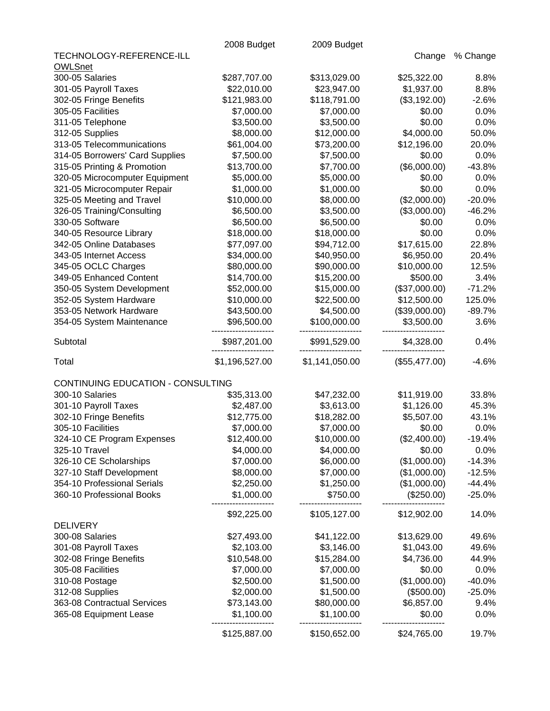|                                   | 2008 Budget    | 2009 Budget    |               |          |
|-----------------------------------|----------------|----------------|---------------|----------|
| TECHNOLOGY-REFERENCE-ILL          |                |                | Change        | % Change |
| <b>OWLSnet</b>                    |                |                |               |          |
| 300-05 Salaries                   | \$287,707.00   | \$313,029.00   | \$25,322.00   | 8.8%     |
| 301-05 Payroll Taxes              | \$22,010.00    | \$23,947.00    | \$1,937.00    | 8.8%     |
| 302-05 Fringe Benefits            | \$121,983.00   | \$118,791.00   | (\$3,192.00)  | $-2.6%$  |
| 305-05 Facilities                 | \$7,000.00     | \$7,000.00     | \$0.00        | 0.0%     |
| 311-05 Telephone                  | \$3,500.00     | \$3,500.00     | \$0.00        | 0.0%     |
| 312-05 Supplies                   | \$8,000.00     | \$12,000.00    | \$4,000.00    | 50.0%    |
| 313-05 Telecommunications         | \$61,004.00    | \$73,200.00    | \$12,196.00   | 20.0%    |
| 314-05 Borrowers' Card Supplies   | \$7,500.00     | \$7,500.00     | \$0.00        | 0.0%     |
| 315-05 Printing & Promotion       | \$13,700.00    | \$7,700.00     | (\$6,000.00)  | $-43.8%$ |
| 320-05 Microcomputer Equipment    | \$5,000.00     | \$5,000.00     | \$0.00        | 0.0%     |
| 321-05 Microcomputer Repair       | \$1,000.00     | \$1,000.00     | \$0.00        | 0.0%     |
| 325-05 Meeting and Travel         | \$10,000.00    | \$8,000.00     | (\$2,000.00)  | $-20.0%$ |
| 326-05 Training/Consulting        | \$6,500.00     | \$3,500.00     | (\$3,000.00)  | $-46.2%$ |
| 330-05 Software                   | \$6,500.00     | \$6,500.00     | \$0.00        | 0.0%     |
| 340-05 Resource Library           | \$18,000.00    | \$18,000.00    | \$0.00        | 0.0%     |
| 342-05 Online Databases           | \$77,097.00    | \$94,712.00    | \$17,615.00   | 22.8%    |
| 343-05 Internet Access            | \$34,000.00    | \$40,950.00    | \$6,950.00    | 20.4%    |
| 345-05 OCLC Charges               | \$80,000.00    | \$90,000.00    | \$10,000.00   | 12.5%    |
| 349-05 Enhanced Content           | \$14,700.00    | \$15,200.00    | \$500.00      | 3.4%     |
| 350-05 System Development         | \$52,000.00    | \$15,000.00    | (\$37,000.00) | $-71.2%$ |
| 352-05 System Hardware            | \$10,000.00    | \$22,500.00    | \$12,500.00   | 125.0%   |
| 353-05 Network Hardware           | \$43,500.00    | \$4,500.00     | (\$39,000.00) | $-89.7%$ |
| 354-05 System Maintenance         | \$96,500.00    | \$100,000.00   | \$3,500.00    | 3.6%     |
| Subtotal                          | \$987,201.00   | \$991,529.00   | \$4,328.00    | 0.4%     |
| Total                             | \$1,196,527.00 | \$1,141,050.00 | (\$55,477.00) | $-4.6%$  |
|                                   |                |                |               |          |
| CONTINUING EDUCATION - CONSULTING |                |                |               |          |
| 300-10 Salaries                   | \$35,313.00    | \$47,232.00    | \$11,919.00   | 33.8%    |
| 301-10 Payroll Taxes              | \$2,487.00     | \$3,613.00     | \$1,126.00    | 45.3%    |
| 302-10 Fringe Benefits            | \$12,775.00    | \$18,282.00    | \$5,507.00    | 43.1%    |
| 305-10 Facilities                 | \$7,000.00     | \$7,000.00     | \$0.00        | 0.0%     |
| 324-10 CE Program Expenses        | \$12,400.00    | \$10,000.00    | (\$2,400.00)  | $-19.4%$ |
| 325-10 Travel                     | \$4,000.00     | \$4,000.00     | \$0.00        | 0.0%     |
| 326-10 CE Scholarships            | \$7,000.00     | \$6,000.00     | (\$1,000.00)  | $-14.3%$ |
| 327-10 Staff Development          | \$8,000.00     | \$7,000.00     | (\$1,000.00)  | $-12.5%$ |
| 354-10 Professional Serials       | \$2,250.00     | \$1,250.00     | (\$1,000.00)  | $-44.4%$ |
| 360-10 Professional Books         | \$1,000.00     | \$750.00       | (\$250.00)    | $-25.0%$ |
|                                   | \$92,225.00    | \$105,127.00   | \$12,902.00   | 14.0%    |
| <b>DELIVERY</b>                   |                |                |               |          |
| 300-08 Salaries                   | \$27,493.00    | \$41,122.00    | \$13,629.00   | 49.6%    |
| 301-08 Payroll Taxes              | \$2,103.00     | \$3,146.00     | \$1,043.00    | 49.6%    |
| 302-08 Fringe Benefits            | \$10,548.00    | \$15,284.00    | \$4,736.00    | 44.9%    |
| 305-08 Facilities                 | \$7,000.00     | \$7,000.00     | \$0.00        | 0.0%     |
| 310-08 Postage                    | \$2,500.00     | \$1,500.00     | (\$1,000.00)  | $-40.0%$ |
| 312-08 Supplies                   | \$2,000.00     | \$1,500.00     | (\$500.00)    | $-25.0%$ |
| 363-08 Contractual Services       | \$73,143.00    | \$80,000.00    | \$6,857.00    | 9.4%     |
| 365-08 Equipment Lease            | \$1,100.00     | \$1,100.00     | \$0.00        | 0.0%     |
|                                   | \$125,887.00   | \$150,652.00   | \$24,765.00   | 19.7%    |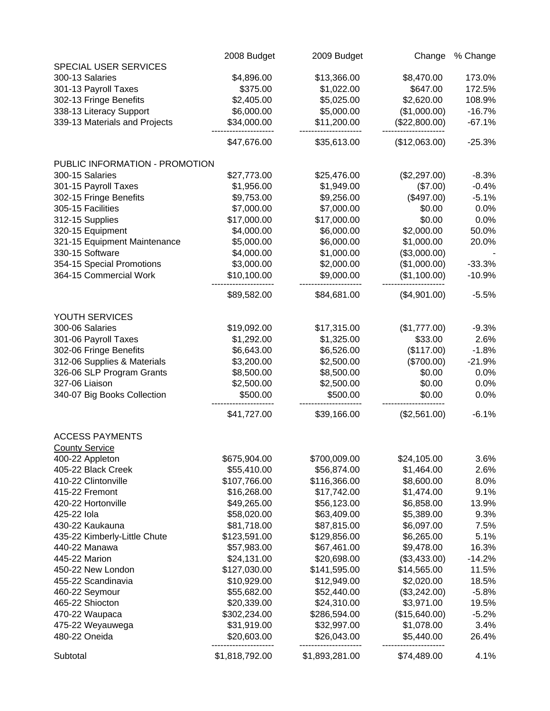|                                | 2008 Budget    | 2009 Budget    | Change        | % Change |
|--------------------------------|----------------|----------------|---------------|----------|
| SPECIAL USER SERVICES          |                |                |               |          |
| 300-13 Salaries                | \$4,896.00     | \$13,366.00    | \$8,470.00    | 173.0%   |
| 301-13 Payroll Taxes           | \$375.00       | \$1,022.00     | \$647.00      | 172.5%   |
| 302-13 Fringe Benefits         | \$2,405.00     | \$5,025.00     | \$2,620.00    | 108.9%   |
| 338-13 Literacy Support        | \$6,000.00     | \$5,000.00     | (\$1,000.00)  | $-16.7%$ |
| 339-13 Materials and Projects  | \$34,000.00    | \$11,200.00    | (\$22,800.00) | $-67.1%$ |
|                                | \$47,676.00    | \$35,613.00    | (\$12,063.00) | $-25.3%$ |
| PUBLIC INFORMATION - PROMOTION |                |                |               |          |
| 300-15 Salaries                | \$27,773.00    | \$25,476.00    | (\$2,297.00)  | $-8.3%$  |
| 301-15 Payroll Taxes           | \$1,956.00     | \$1,949.00     | (\$7.00)      | $-0.4%$  |
| 302-15 Fringe Benefits         | \$9,753.00     | \$9,256.00     | (\$497.00)    | $-5.1%$  |
| 305-15 Facilities              | \$7,000.00     | \$7,000.00     | \$0.00        | 0.0%     |
| 312-15 Supplies                | \$17,000.00    | \$17,000.00    | \$0.00        | 0.0%     |
| 320-15 Equipment               | \$4,000.00     | \$6,000.00     | \$2,000.00    | 50.0%    |
| 321-15 Equipment Maintenance   | \$5,000.00     | \$6,000.00     | \$1,000.00    | 20.0%    |
| 330-15 Software                | \$4,000.00     | \$1,000.00     | (\$3,000.00)  |          |
| 354-15 Special Promotions      | \$3,000.00     | \$2,000.00     | (\$1,000.00)  | $-33.3%$ |
| 364-15 Commercial Work         | \$10,100.00    | \$9,000.00     | (\$1,100.00)  | $-10.9%$ |
|                                | \$89,582.00    | \$84,681.00    | (\$4,901.00)  | $-5.5%$  |
| YOUTH SERVICES                 |                |                |               |          |
| 300-06 Salaries                | \$19,092.00    | \$17,315.00    | (\$1,777.00)  | $-9.3%$  |
| 301-06 Payroll Taxes           | \$1,292.00     | \$1,325.00     | \$33.00       | 2.6%     |
| 302-06 Fringe Benefits         | \$6,643.00     | \$6,526.00     | (\$117.00)    | $-1.8%$  |
| 312-06 Supplies & Materials    | \$3,200.00     | \$2,500.00     | (\$700.00)    | $-21.9%$ |
| 326-06 SLP Program Grants      | \$8,500.00     | \$8,500.00     | \$0.00        | 0.0%     |
| 327-06 Liaison                 | \$2,500.00     | \$2,500.00     | \$0.00        | 0.0%     |
| 340-07 Big Books Collection    | \$500.00       | \$500.00       | \$0.00        | 0.0%     |
|                                | \$41,727.00    | \$39,166.00    | (\$2,561.00)  | $-6.1%$  |
| <b>ACCESS PAYMENTS</b>         |                |                |               |          |
| <b>County Service</b>          |                |                |               |          |
| 400-22 Appleton                | \$675,904.00   | \$700,009.00   | \$24,105.00   | 3.6%     |
| 405-22 Black Creek             | \$55,410.00    | \$56,874.00    | \$1,464.00    | 2.6%     |
| 410-22 Clintonville            | \$107,766.00   | \$116,366.00   | \$8,600.00    | 8.0%     |
| 415-22 Fremont                 | \$16,268.00    | \$17,742.00    | \$1,474.00    | 9.1%     |
| 420-22 Hortonville             | \$49,265.00    | \$56,123.00    | \$6,858.00    | 13.9%    |
| 425-22 lola                    | \$58,020.00    | \$63,409.00    | \$5,389.00    | 9.3%     |
| 430-22 Kaukauna                | \$81,718.00    | \$87,815.00    | \$6,097.00    | 7.5%     |
| 435-22 Kimberly-Little Chute   | \$123,591.00   | \$129,856.00   | \$6,265.00    | 5.1%     |
| 440-22 Manawa                  | \$57,983.00    | \$67,461.00    | \$9,478.00    | 16.3%    |
| 445-22 Marion                  | \$24,131.00    | \$20,698.00    | (\$3,433.00)  | $-14.2%$ |
| 450-22 New London              | \$127,030.00   | \$141,595.00   | \$14,565.00   | 11.5%    |
| 455-22 Scandinavia             | \$10,929.00    | \$12,949.00    | \$2,020.00    | 18.5%    |
| 460-22 Seymour                 | \$55,682.00    | \$52,440.00    | (\$3,242.00)  | $-5.8%$  |
| 465-22 Shiocton                | \$20,339.00    | \$24,310.00    | \$3,971.00    | 19.5%    |
| 470-22 Waupaca                 | \$302,234.00   | \$286,594.00   | (\$15,640.00) | $-5.2%$  |
| 475-22 Weyauwega               | \$31,919.00    | \$32,997.00    | \$1,078.00    | 3.4%     |
| 480-22 Oneida                  | \$20,603.00    | \$26,043.00    | \$5,440.00    | 26.4%    |
| Subtotal                       | \$1,818,792.00 | \$1,893,281.00 | \$74,489.00   | 4.1%     |